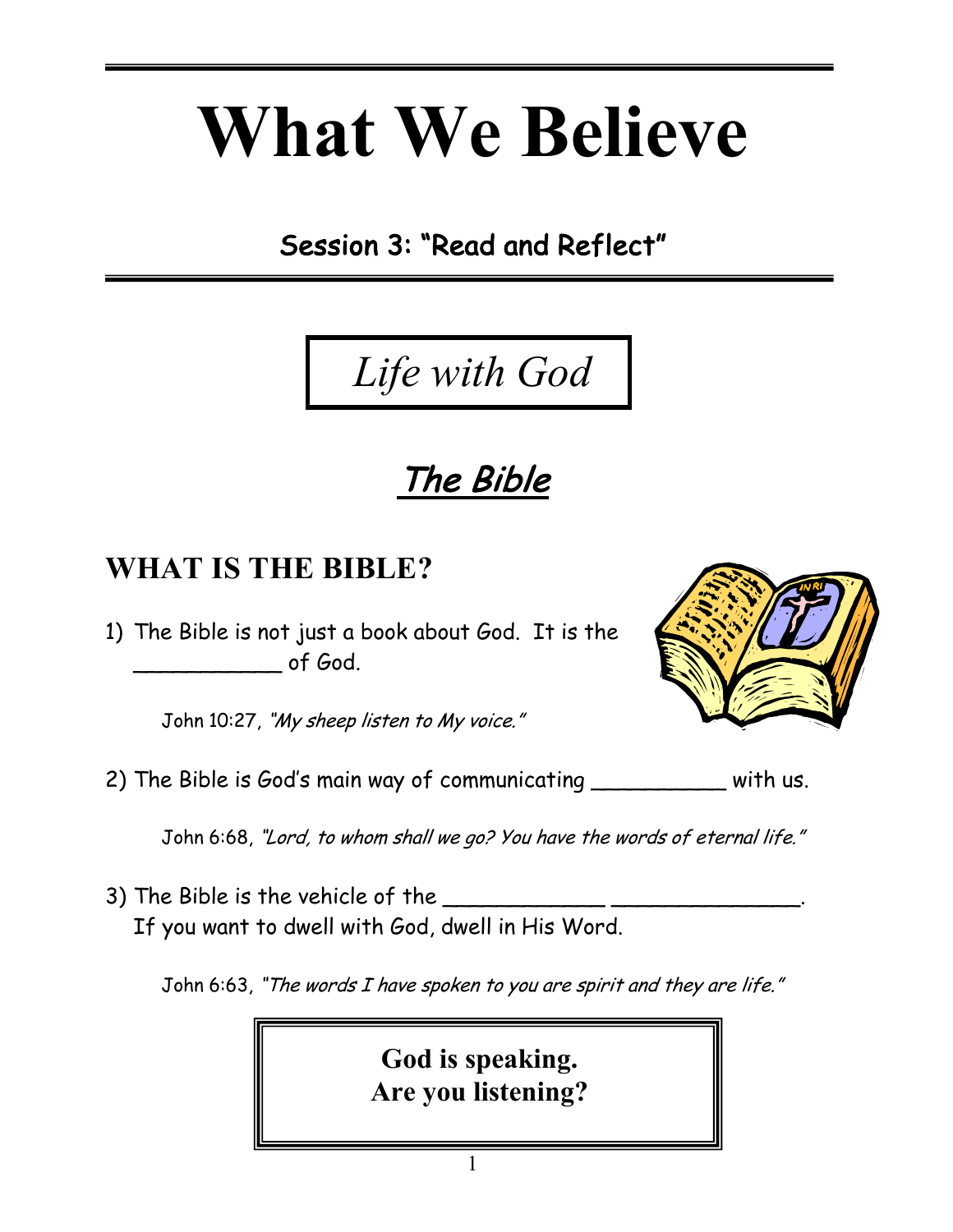# **What We Believe**

Session 3: "Read and Reflect"

## The Bible

 *Life with God*

#### **WHAT IS THE BIBLE?**

**=** 

1) The Bible is not just a book about God. It is the of God.

John 10:27, "My sheep listen to My voice."

2) The Bible is God's main way of communicating \_\_\_\_\_\_\_\_\_\_\_ with us.

John 6:68, "Lord, to whom shall we go? You have the words of eternal life."

3) The Bible is the vehicle of the \_\_\_\_\_\_\_\_\_\_\_\_ \_\_\_\_\_\_\_\_\_\_\_\_\_\_. If you want to dwell with God, dwell in His Word.

John 6:63, "The words I have spoken to you are spirit and they are life."

**God is speaking. Are you listening?**



1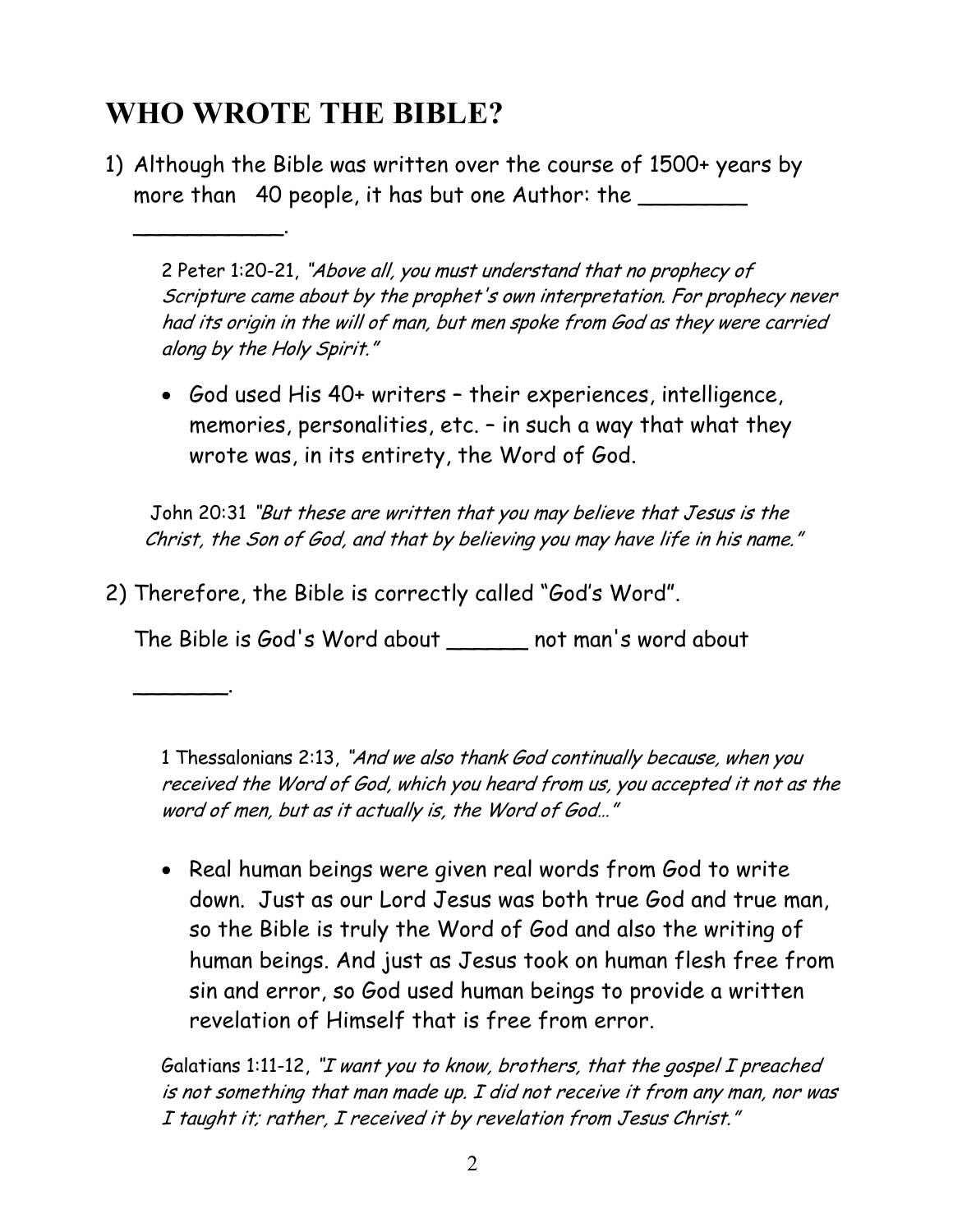#### **WHO WROTE THE BIBLE?**

\_\_\_\_\_\_\_\_\_\_\_.

\_\_\_\_\_\_\_.

1) Although the Bible was written over the course of 1500+ years by more than 40 people, it has but one Author: the

2 Peter 1:20-21, "Above all, you must understand that no prophecy of Scripture came about by the prophet's own interpretation. For prophecy never had its origin in the will of man, but men spoke from God as they were carried along by the Holy Spirit."

• God used His 40+ writers – their experiences, intelligence, memories, personalities, etc. – in such a way that what they wrote was, in its entirety, the Word of God.

 John 20:31 "But these are written that you may believe that Jesus is the Christ, the Son of God, and that by believing you may have life in his name."

2) Therefore, the Bible is correctly called "God's Word".

The Bible is God's Word about \_\_\_\_\_\_ not man's word about

1 Thessalonians 2:13, "And we also thank God continually because, when you received the Word of God, which you heard from us, you accepted it not as the word of men, but as it actually is, the Word of God…"

• Real human beings were given real words from God to write down. Just as our Lord Jesus was both true God and true man, so the Bible is truly the Word of God and also the writing of human beings. And just as Jesus took on human flesh free from sin and error, so God used human beings to provide a written revelation of Himself that is free from error.

Galatians 1:11-12, "I want you to know, brothers, that the gospel I preached is not something that man made up. I did not receive it from any man, nor was I taught it; rather, I received it by revelation from Jesus Christ."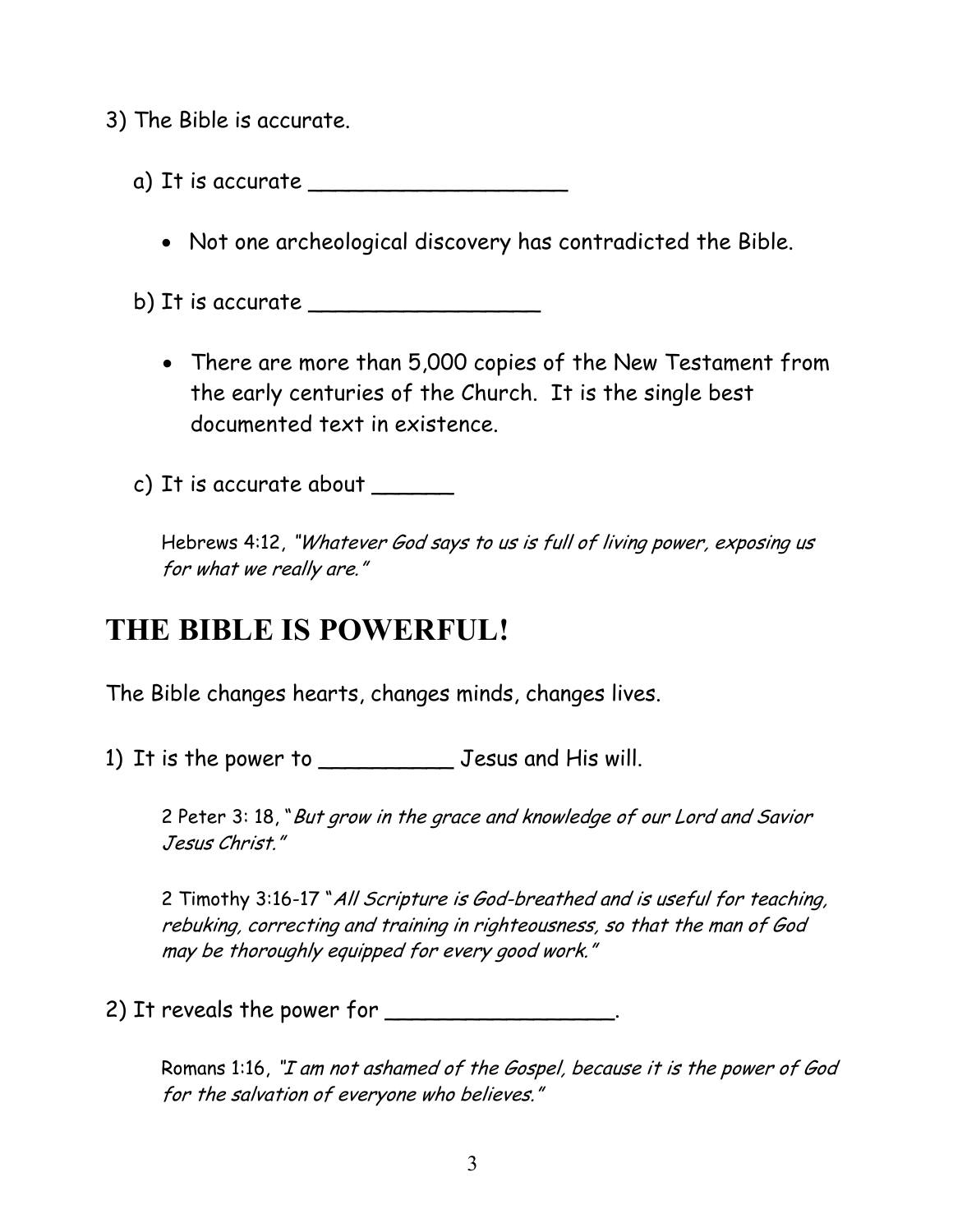3) The Bible is accurate.

- a) It is accurate \_\_\_\_\_\_\_\_\_\_\_\_\_\_\_\_\_\_\_
	- Not one archeological discovery has contradicted the Bible.
- b) It is accurate  $\Box$ 
	- There are more than 5,000 copies of the New Testament from the early centuries of the Church. It is the single best documented text in existence.

c) It is accurate about \_\_\_\_\_\_

Hebrews 4:12, "Whatever God says to us is full of living power, exposing us for what we really are."

#### **THE BIBLE IS POWERFUL!**

The Bible changes hearts, changes minds, changes lives.

1) It is the power to \_\_\_\_\_\_\_\_\_\_ Jesus and His will.

2 Peter 3: 18, "But grow in the grace and knowledge of our Lord and Savior Jesus Christ."

2 Timothy 3:16-17 "All Scripture is God-breathed and is useful for teaching, rebuking, correcting and training in righteousness, so that the man of God may be thoroughly equipped for every good work."

2) It reveals the power for \_\_\_\_\_\_\_\_\_\_\_\_\_\_\_\_\_.

Romans 1:16, "I am not ashamed of the Gospel, because it is the power of God for the salvation of everyone who believes."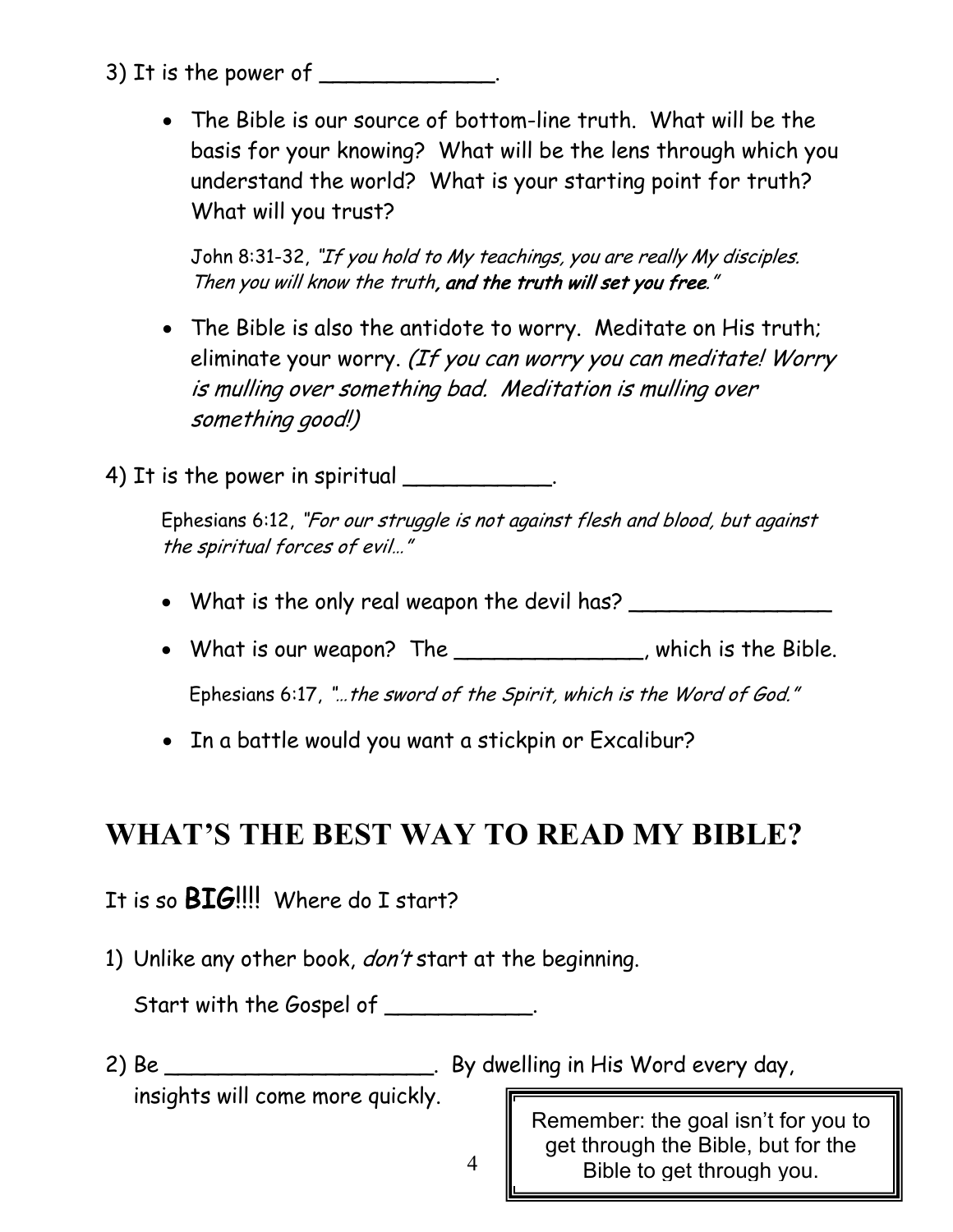- 3) It is the power of
	- The Bible is our source of bottom-line truth. What will be the basis for your knowing? What will be the lens through which you understand the world? What is your starting point for truth? What will you trust?

John 8:31-32, "If you hold to My teachings, you are really My disciples. Then you will know the truth, and the truth will set you free."

• The Bible is also the antidote to worry. Meditate on His truth; eliminate your worry. (If you can worry you can meditate! Worry is mulling over something bad. Meditation is mulling over something good!)

4) It is the power in spiritual  $\frac{1}{1}$ 

Ephesians 6:12, "For our struggle is not against flesh and blood, but against the spiritual forces of evil…"

- What is the only real weapon the devil has? \_\_\_\_\_\_\_\_\_\_\_\_\_\_\_\_\_\_\_\_\_\_\_\_\_\_\_\_\_\_\_\_\_\_
- What is our weapon? The \_\_\_\_\_\_\_\_\_\_\_\_\_\_, which is the Bible.

Ephesians 6:17, "…the sword of the Spirit, which is the Word of God."

• In a battle would you want a stickpin or Excalibur?

#### **WHAT'S THE BEST WAY TO READ MY BIBLE?**

#### It is so **BIG!!!!** Where do I start?

1) Unlike any other book, *don't* start at the beginning.

Start with the Gospel of \_\_\_\_\_\_\_\_\_\_\_.

2) Be \_\_\_\_\_\_\_\_\_\_\_\_\_\_\_\_\_\_\_\_\_\_\_\_. By dwelling in His Word every day,

insights will come more quickly.

Remember: the goal isn't for you to get through the Bible, but for the Bible to get through you.

4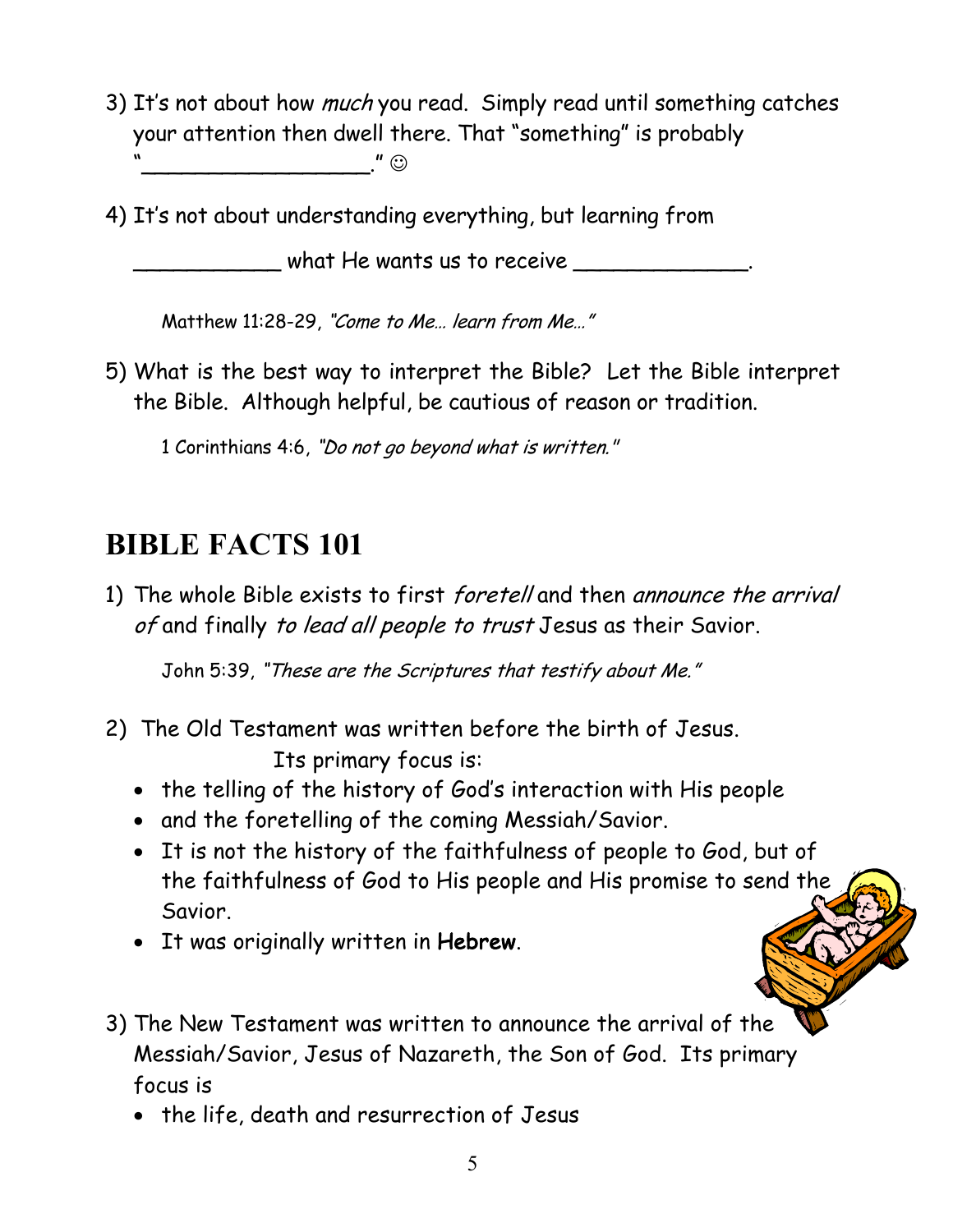3) It's not about how *much* you read. Simply read until something catches your attention then dwell there. That "something" is probably  $\cdot$  "  $\odot$ 

4) It's not about understanding everything, but learning from

 $\_$  what He wants us to receive  $\_$ 

Matthew 11:28-29, "Come to Me… learn from Me…"

5) What is the best way to interpret the Bible? Let the Bible interpret the Bible. Although helpful, be cautious of reason or tradition.

1 Corinthians 4:6, "Do not go beyond what is written."

#### **BIBLE FACTS 101**

1) The whole Bible exists to first *foretell* and then announce the arrival of and finally to lead all people to trust Jesus as their Savior.

John 5:39, "These are the Scriptures that testify about Me."

- 2) The Old Testament was written before the birth of Jesus. Its primary focus is:
	- the telling of the history of God's interaction with His people
	- and the foretelling of the coming Messiah/Savior.
	- It is not the history of the faithfulness of people to God, but of the faithfulness of God to His people and His promise to send the Savior.
	- It was originally written in Hebrew.
- 3) The New Testament was written to announce the arrival of the Messiah/Savior, Jesus of Nazareth, the Son of God. Its primary focus is
	- the life, death and resurrection of Jesus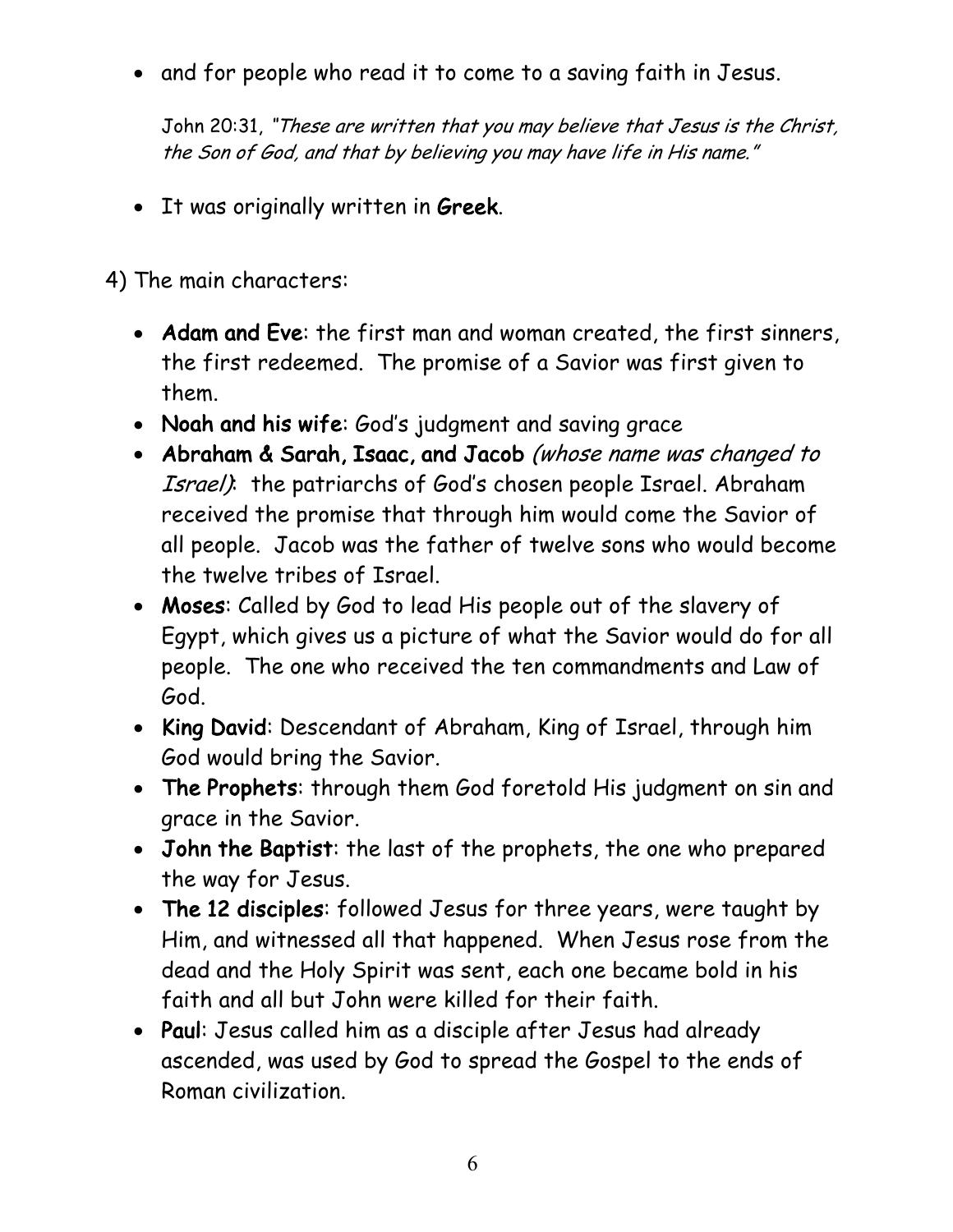• and for people who read it to come to a saving faith in Jesus.

John 20:31, "These are written that you may believe that Jesus is the Christ, the Son of God, and that by believing you may have life in His name."

• It was originally written in Greek.

4) The main characters:

- Adam and Eve: the first man and woman created, the first sinners, the first redeemed. The promise of a Savior was first given to them.
- Noah and his wife: God's judgment and saving grace
- Abraham & Sarah, Isaac, and Jacob (whose name was changed to Israel): the patriarchs of God's chosen people Israel. Abraham received the promise that through him would come the Savior of all people. Jacob was the father of twelve sons who would become the twelve tribes of Israel.
- Moses: Called by God to lead His people out of the slavery of Egypt, which gives us a picture of what the Savior would do for all people. The one who received the ten commandments and Law of God.
- King David: Descendant of Abraham, King of Israel, through him God would bring the Savior.
- The Prophets: through them God foretold His judgment on sin and grace in the Savior.
- John the Baptist: the last of the prophets, the one who prepared the way for Jesus.
- The 12 disciples: followed Jesus for three years, were taught by Him, and witnessed all that happened. When Jesus rose from the dead and the Holy Spirit was sent, each one became bold in his faith and all but John were killed for their faith.
- Paul: Jesus called him as a disciple after Jesus had already ascended, was used by God to spread the Gospel to the ends of Roman civilization.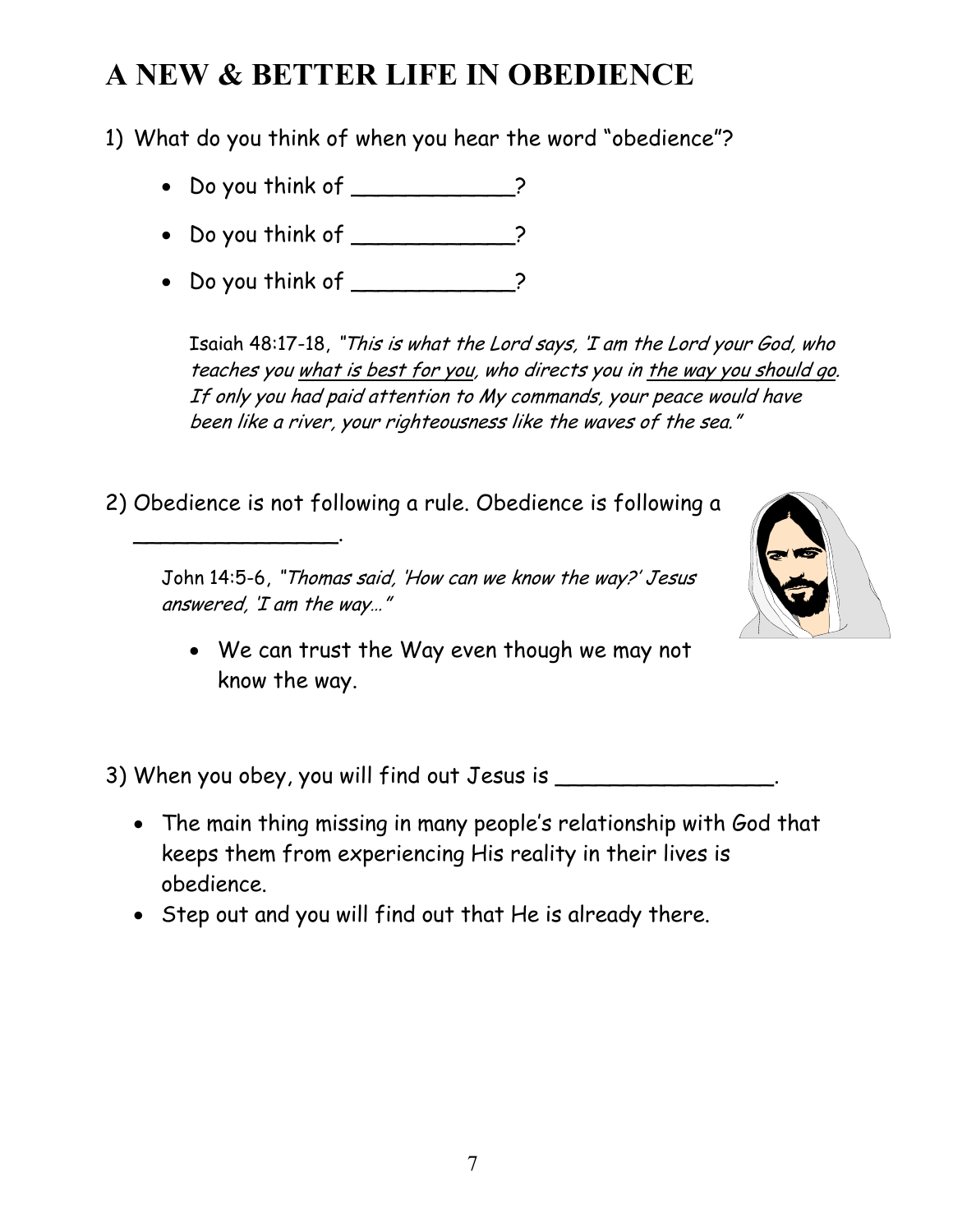#### **A NEW & BETTER LIFE IN OBEDIENCE**

1) What do you think of when you hear the word "obedience"?

- Do you think of \_\_\_\_\_\_\_\_\_\_?
- Do you think of \_\_\_\_\_\_\_\_\_\_\_?
- Do you think of \_\_\_\_\_\_\_\_\_\_\_?

\_\_\_\_\_\_\_\_\_\_\_\_\_\_\_.

Isaiah 48:17-18, "This is what the Lord says, 'I am the Lord your God, who teaches you what is best for you, who directs you in the way you should go. If only you had paid attention to My commands, your peace would have been like a river, your righteousness like the waves of the sea."

2) Obedience is not following a rule. Obedience is following a

John 14:5-6, "Thomas said, 'How can we know the way?' Jesus answered, 'I am the way…"



• We can trust the Way even though we may not know the way.

3) When you obey, you will find out Jesus is \_\_\_\_\_\_\_\_\_\_\_\_\_\_\_\_.

- The main thing missing in many people's relationship with God that keeps them from experiencing His reality in their lives is obedience.
- Step out and you will find out that He is already there.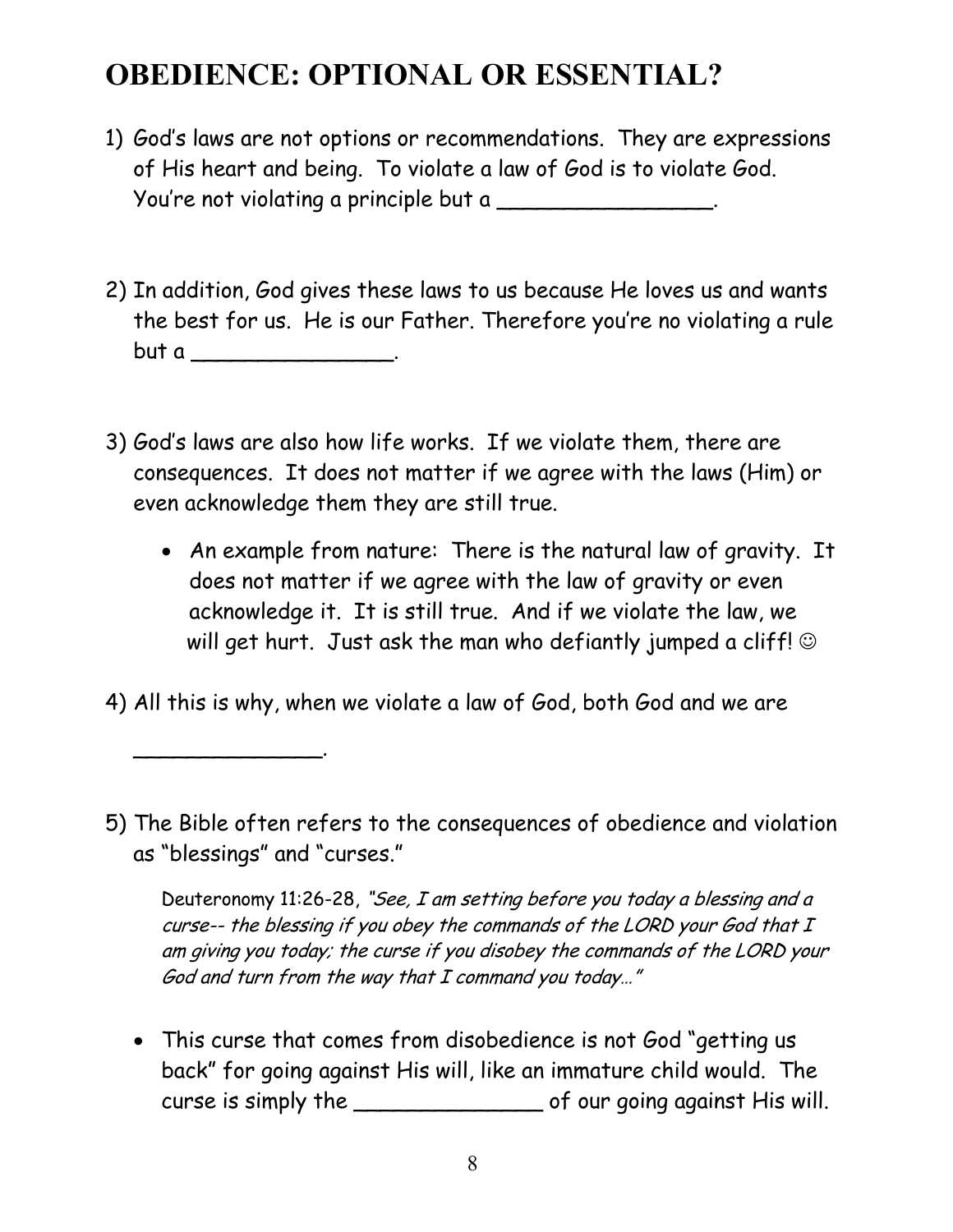#### **OBEDIENCE: OPTIONAL OR ESSENTIAL?**

- 1) God's laws are not options or recommendations. They are expressions of His heart and being. To violate a law of God is to violate God. You're not violating a principle but a
- 2) In addition, God gives these laws to us because He loves us and wants the best for us. He is our Father. Therefore you're no violating a rule but a \_\_\_\_\_\_\_\_\_\_\_\_\_\_\_\_\_.
- 3) God's laws are also how life works. If we violate them, there are consequences. It does not matter if we agree with the laws (Him) or even acknowledge them they are still true.
	- An example from nature: There is the natural law of gravity. It does not matter if we agree with the law of gravity or even acknowledge it. It is still true. And if we violate the law, we will get hurt. Just ask the man who defiantly jumped a cliff!  $\circledcirc$
- 4) All this is why, when we violate a law of God, both God and we are

\_\_\_\_\_\_\_\_\_\_\_\_\_\_.

5) The Bible often refers to the consequences of obedience and violation as "blessings" and "curses."

Deuteronomy 11:26-28, "See, I am setting before you today a blessing and a curse-- the blessing if you obey the commands of the LORD your God that I am giving you today; the curse if you disobey the commands of the LORD your God and turn from the way that I command you today…"

• This curse that comes from disobedience is not God "getting us back" for going against His will, like an immature child would. The curse is simply the \_\_\_\_\_\_\_\_\_\_\_\_\_\_ of our going against His will.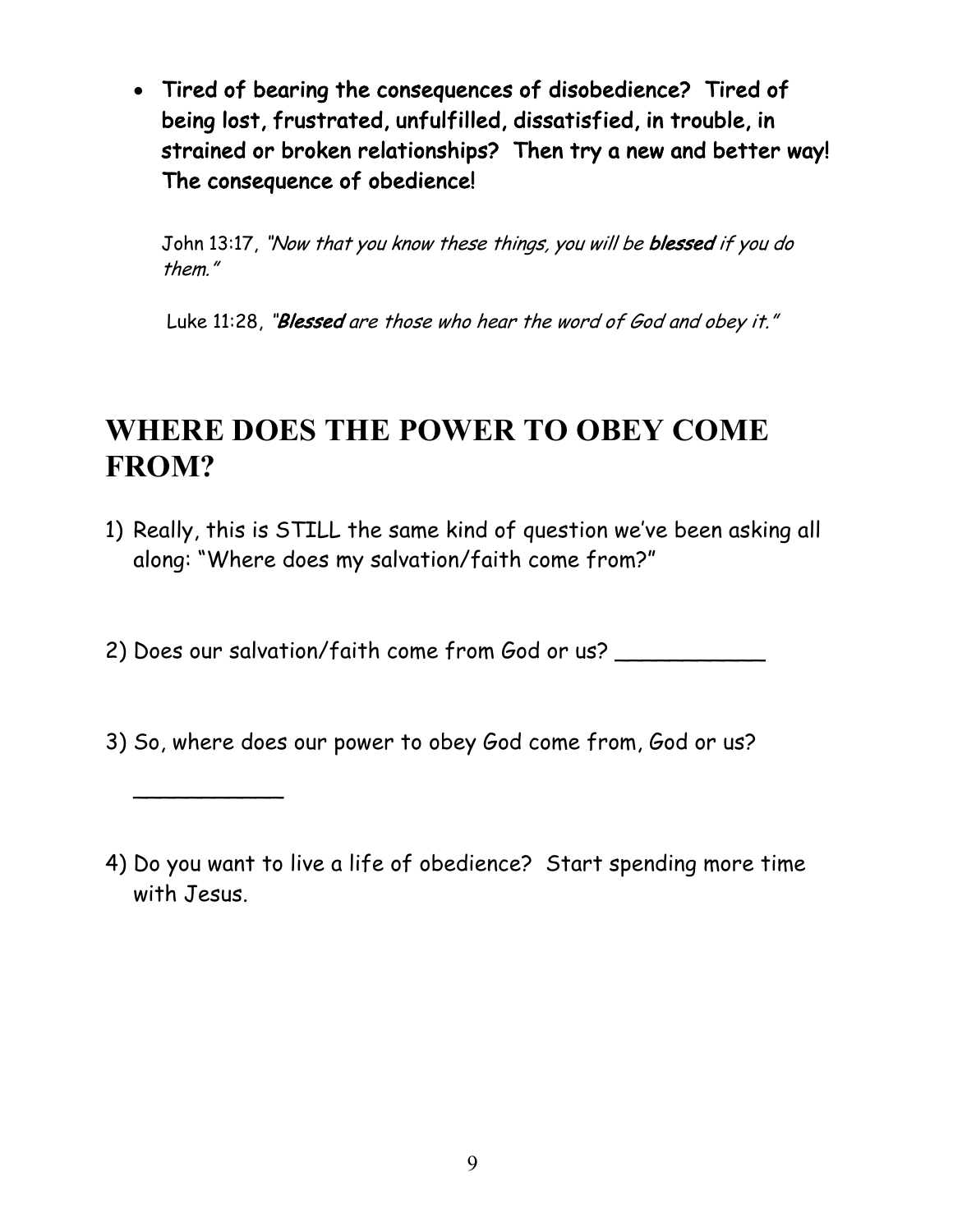• Tired of bearing the consequences of disobedience? Tired of being lost, frustrated, unfulfilled, dissatisfied, in trouble, in strained or broken relationships? Then try a new and better way! The consequence of obedience!

John 13:17, "Now that you know these things, you will be blessed if you do them."

Luke 11:28, "Blessed are those who hear the word of God and obey it."

#### **WHERE DOES THE POWER TO OBEY COME FROM?**

- 1) Really, this is STILL the same kind of question we've been asking all along: "Where does my salvation/faith come from?"
- 2) Does our salvation/faith come from God or us?
- 3) So, where does our power to obey God come from, God or us?

 $\overline{\phantom{a}}$ 

4) Do you want to live a life of obedience? Start spending more time with Jesus.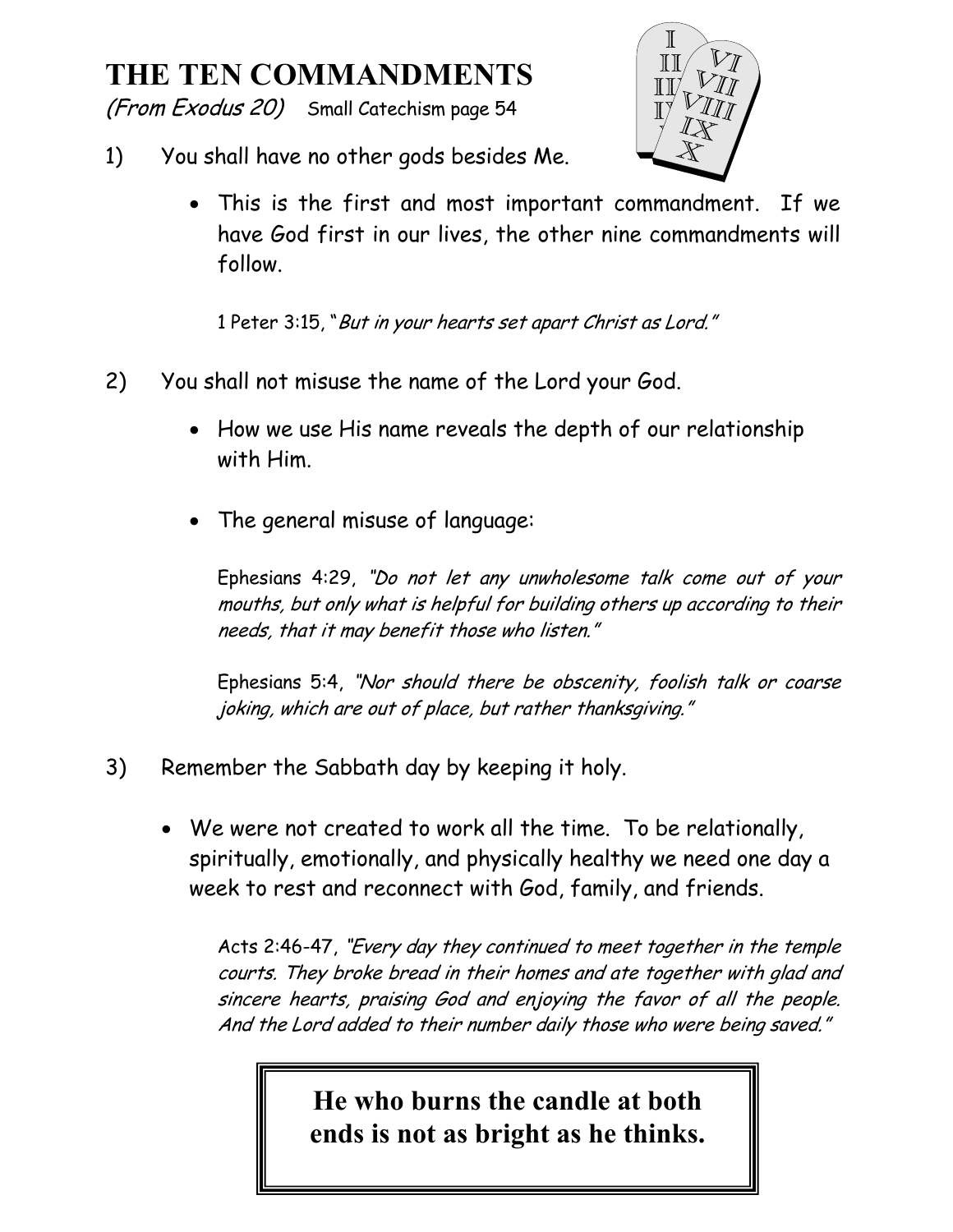#### **THE TEN COMMANDMENTS**

(From Exodus 20) Small Catechism page 54



- 1) You shall have no other gods besides Me.
	- This is the first and most important commandment. If we have God first in our lives, the other nine commandments will follow.

1 Peter 3:15, "But in your hearts set apart Christ as Lord."

- 2) You shall not misuse the name of the Lord your God.
	- How we use His name reveals the depth of our relationship with Him.
	- The general misuse of language:

Ephesians 4:29, "Do not let any unwholesome talk come out of your mouths, but only what is helpful for building others up according to their needs, that it may benefit those who listen."

Ephesians 5:4, "Nor should there be obscenity, foolish talk or coarse joking, which are out of place, but rather thanksgiving."

- 3) Remember the Sabbath day by keeping it holy.
	- We were not created to work all the time. To be relationally, spiritually, emotionally, and physically healthy we need one day a week to rest and reconnect with God, family, and friends.

Acts 2:46-47, "Every day they continued to meet together in the temple courts. They broke bread in their homes and ate together with glad and sincere hearts, praising God and enjoying the favor of all the people. And the Lord added to their number daily those who were being saved."

> **He who burns the candle at both ends is not as bright as he thinks.**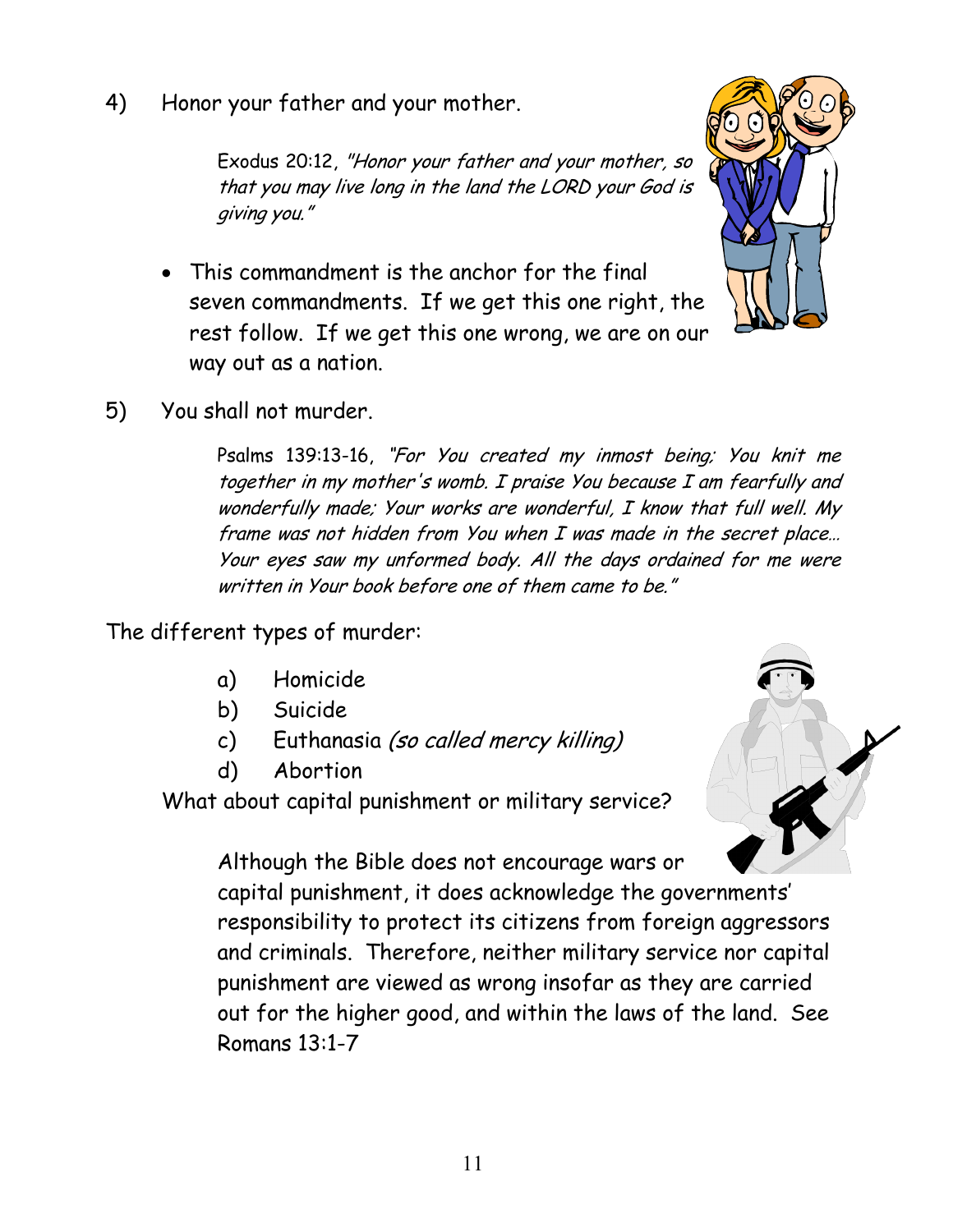4) Honor your father and your mother.

Exodus 20:12, "Honor your father and your mother, so that you may live long in the land the LORD your God is giving you."

• This commandment is the anchor for the final seven commandments. If we get this one right, the rest follow. If we get this one wrong, we are on our way out as a nation.



5) You shall not murder.

Psalms 139:13-16, "For You created my inmost being; You knit me together in my mother's womb. I praise You because I am fearfully and wonderfully made; Your works are wonderful, I know that full well. My frame was not hidden from You when I was made in the secret place… Your eyes saw my unformed body. All the days ordained for me were written in Your book before one of them came to be."

The different types of murder:

- a) Homicide
- b) Suicide
- c) Euthanasia (so called mercy killing)
- d) Abortion

What about capital punishment or military service?

Although the Bible does not encourage wars or capital punishment, it does acknowledge the governments' responsibility to protect its citizens from foreign aggressors and criminals. Therefore, neither military service nor capital punishment are viewed as wrong insofar as they are carried out for the higher good, and within the laws of the land. See Romans 13:1-7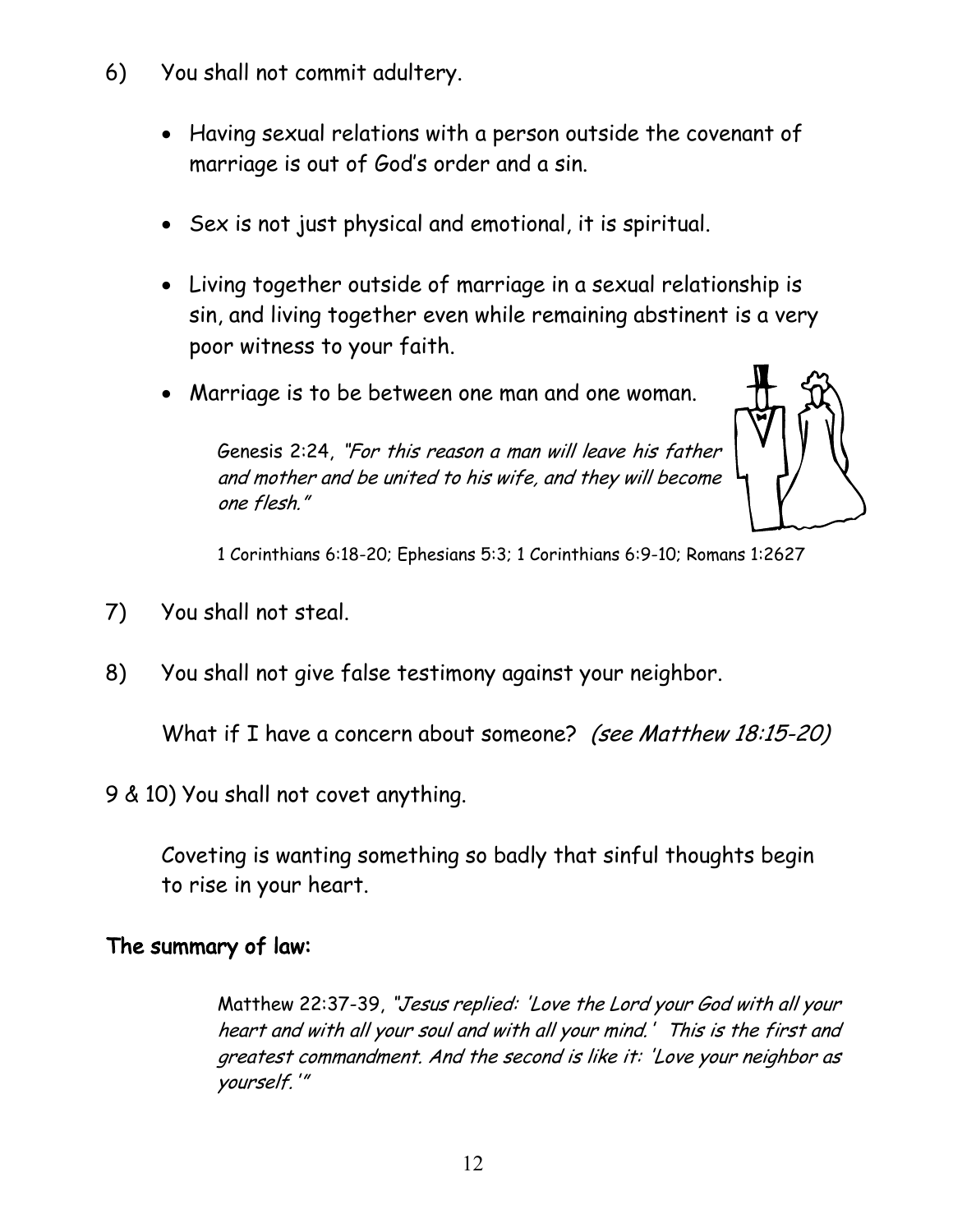- 6) You shall not commit adultery.
	- Having sexual relations with a person outside the covenant of marriage is out of God's order and a sin.
	- Sex is not just physical and emotional, it is spiritual.
	- Living together outside of marriage in a sexual relationship is sin, and living together even while remaining abstinent is a very poor witness to your faith.
	- Marriage is to be between one man and one woman.

Genesis 2:24, "For this reason a man will leave his father and mother and be united to his wife, and they will become one flesh."



1 Corinthians 6:18-20; Ephesians 5:3; 1 Corinthians 6:9-10; Romans 1:2627

- 7) You shall not steal.
- 8) You shall not give false testimony against your neighbor.

What if I have a concern about someone? (see Matthew 18:15-20)

9 & 10) You shall not covet anything.

Coveting is wanting something so badly that sinful thoughts begin to rise in your heart.

#### The summary of law:

Matthew 22:37-39, "Jesus replied: 'Love the Lord your God with all your heart and with all your soul and with all your mind.' This is the first and greatest commandment. And the second is like it: 'Love your neighbor as yourself.'"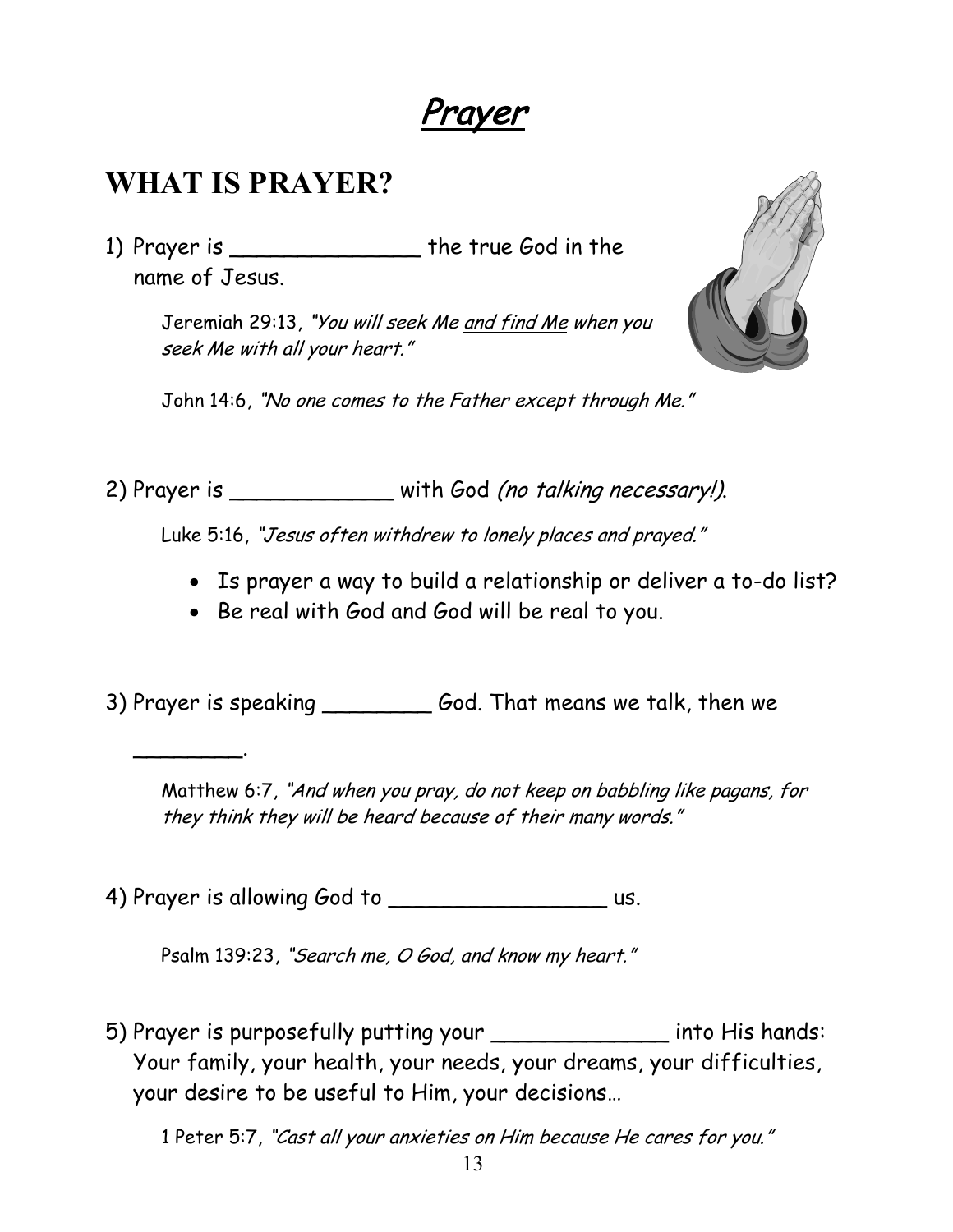Prayer

#### **WHAT IS PRAYER?**

 $\overline{\phantom{a}}$ 

1) Prayer is \_\_\_\_\_\_\_\_\_\_\_\_\_\_\_\_\_ the true God in the name of Jesus.

> Jeremiah 29:13, "You will seek Me and find Me when you seek Me with all your heart."



John 14:6, "No one comes to the Father except through Me."

2) Prayer is \_\_\_\_\_\_\_\_\_\_\_\_\_ with God (no talking necessary!).

Luke 5:16, "Jesus often withdrew to lonely places and prayed."

- Is prayer a way to build a relationship or deliver a to-do list?
- Be real with God and God will be real to you.

3) Prayer is speaking \_\_\_\_\_\_\_\_ God. That means we talk, then we

Matthew 6:7, "And when you pray, do not keep on babbling like pagans, for they think they will be heard because of their many words."

4) Prayer is allowing God to us.

Psalm 139:23, "Search me, O God, and know my heart."

5) Prayer is purposefully putting your \_\_\_\_\_\_\_\_\_\_\_\_\_ into His hands: Your family, your health, your needs, your dreams, your difficulties, your desire to be useful to Him, your decisions…

1 Peter 5:7, "Cast all your anxieties on Him because He cares for you."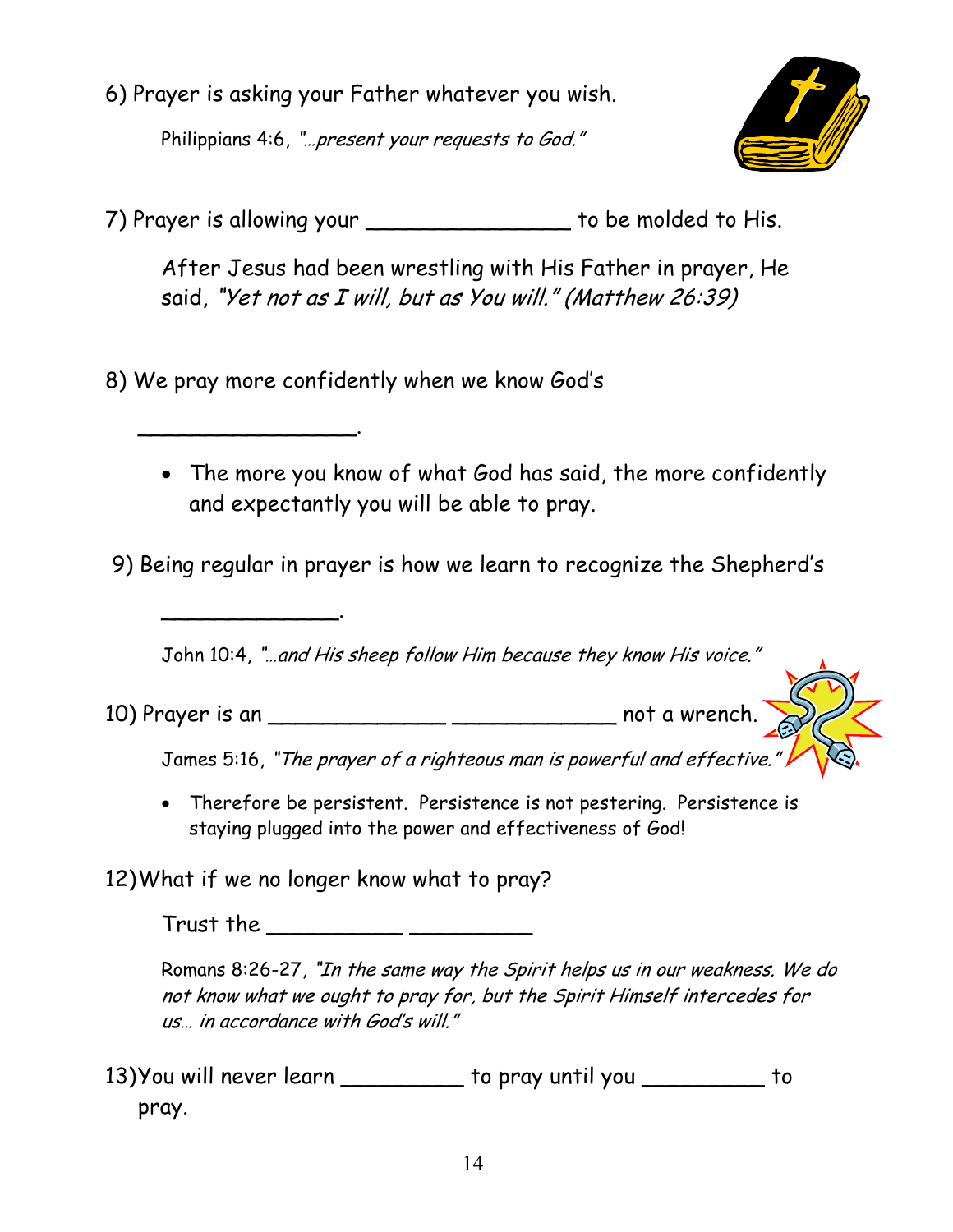6) Prayer is asking your Father whatever you wish.

Philippians 4:6, "...present your requests to God."



7) Prayer is allowing your \_\_\_\_\_\_\_\_\_\_\_\_\_\_\_ to be molded to His.

After Jesus had been wrestling with His Father in prayer, He said, "Yet not as I will, but as You will." (Matthew 26:39)

8) We pray more confidently when we know God's

 $\overline{\phantom{a}}$ 

\_\_\_\_\_\_\_\_\_\_\_\_\_.

• The more you know of what God has said, the more confidently and expectantly you will be able to pray.

9) Being regular in prayer is how we learn to recognize the Shepherd's

John 10:4, "…and His sheep follow Him because they know His voice."

10) Prayer is an \_\_\_\_\_\_\_\_\_\_\_\_\_ \_\_\_\_\_\_\_\_\_\_\_\_ not a wrench.

James 5:16, "The prayer of a righteous man is powerful and effective."

• Therefore be persistent. Persistence is not pestering. Persistence is staying plugged into the power and effectiveness of God!

12)What if we no longer know what to pray?

Trust the \_\_\_\_\_\_\_\_\_\_ \_\_\_\_\_\_\_\_\_

Romans 8:26-27, "In the same way the Spirit helps us in our weakness. We do not know what we ought to pray for, but the Spirit Himself intercedes for us… in accordance with God's will."

13)You will never learn \_\_\_\_\_\_\_\_\_ to pray until you \_\_\_\_\_\_\_\_\_ to pray.